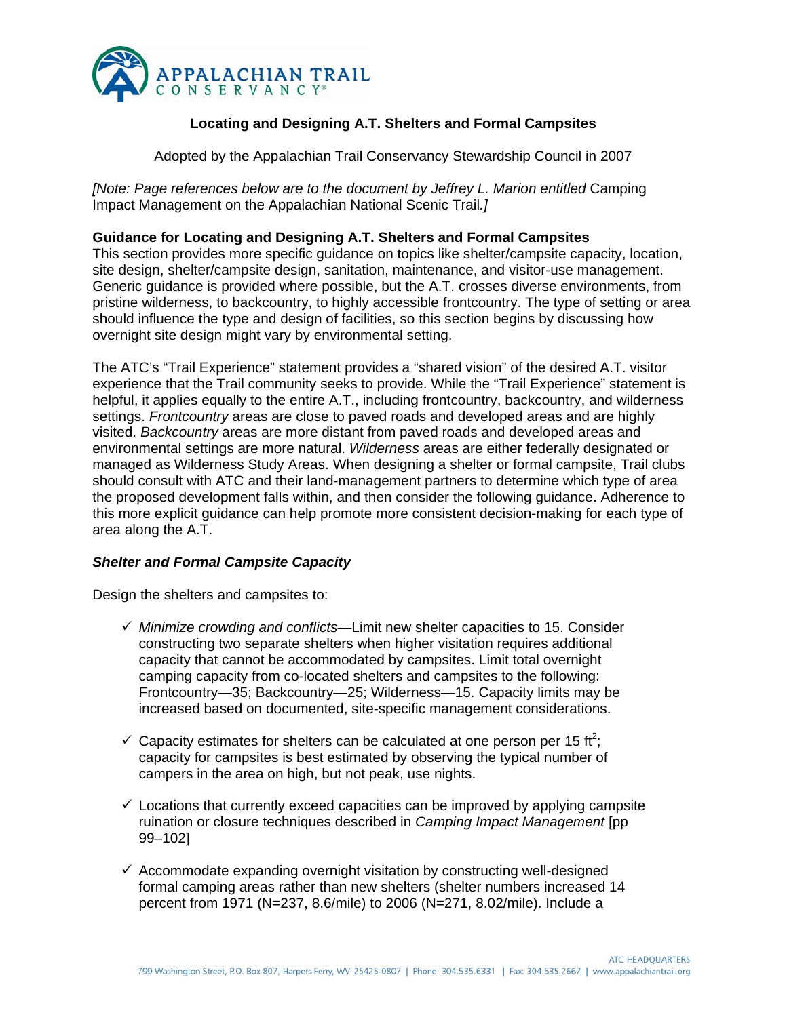

# **Locating and Designing A.T. Shelters and Formal Campsites**

Adopted by the Appalachian Trail Conservancy Stewardship Council in 2007

*[Note: Page references below are to the document by Jeffrey L. Marion entitled* Camping Impact Management on the Appalachian National Scenic Trail*.]* 

# **Guidance for Locating and Designing A.T. Shelters and Formal Campsites**

This section provides more specific guidance on topics like shelter/campsite capacity, location, site design, shelter/campsite design, sanitation, maintenance, and visitor-use management. Generic guidance is provided where possible, but the A.T. crosses diverse environments, from pristine wilderness, to backcountry, to highly accessible frontcountry. The type of setting or area should influence the type and design of facilities, so this section begins by discussing how overnight site design might vary by environmental setting.

The ATC's "Trail Experience" statement provides a "shared vision" of the desired A.T. visitor experience that the Trail community seeks to provide. While the "Trail Experience" statement is helpful, it applies equally to the entire A.T., including frontcountry, backcountry, and wilderness settings. *Frontcountry* areas are close to paved roads and developed areas and are highly visited. *Backcountry* areas are more distant from paved roads and developed areas and environmental settings are more natural. *Wilderness* areas are either federally designated or managed as Wilderness Study Areas. When designing a shelter or formal campsite, Trail clubs should consult with ATC and their land-management partners to determine which type of area the proposed development falls within, and then consider the following guidance. Adherence to this more explicit guidance can help promote more consistent decision-making for each type of area along the A.T.

# *Shelter and Formal Campsite Capacity*

Design the shelters and campsites to:

- $\checkmark$  *Minimize crowding and conflicts*—Limit new shelter capacities to 15. Consider constructing two separate shelters when higher visitation requires additional capacity that cannot be accommodated by campsites. Limit total overnight camping capacity from co-located shelters and campsites to the following: Frontcountry—35; Backcountry—25; Wilderness—15. Capacity limits may be increased based on documented, site-specific management considerations.
- $\checkmark$  Capacity estimates for shelters can be calculated at one person per 15 ft<sup>2</sup>; capacity for campsites is best estimated by observing the typical number of campers in the area on high, but not peak, use nights.
- $\checkmark$  Locations that currently exceed capacities can be improved by applying campsite ruination or closure techniques described in *Camping Impact Management* [pp 99–102]
- $\checkmark$  Accommodate expanding overnight visitation by constructing well-designed formal camping areas rather than new shelters (shelter numbers increased 14 percent from 1971 (N=237, 8.6/mile) to 2006 (N=271, 8.02/mile). Include a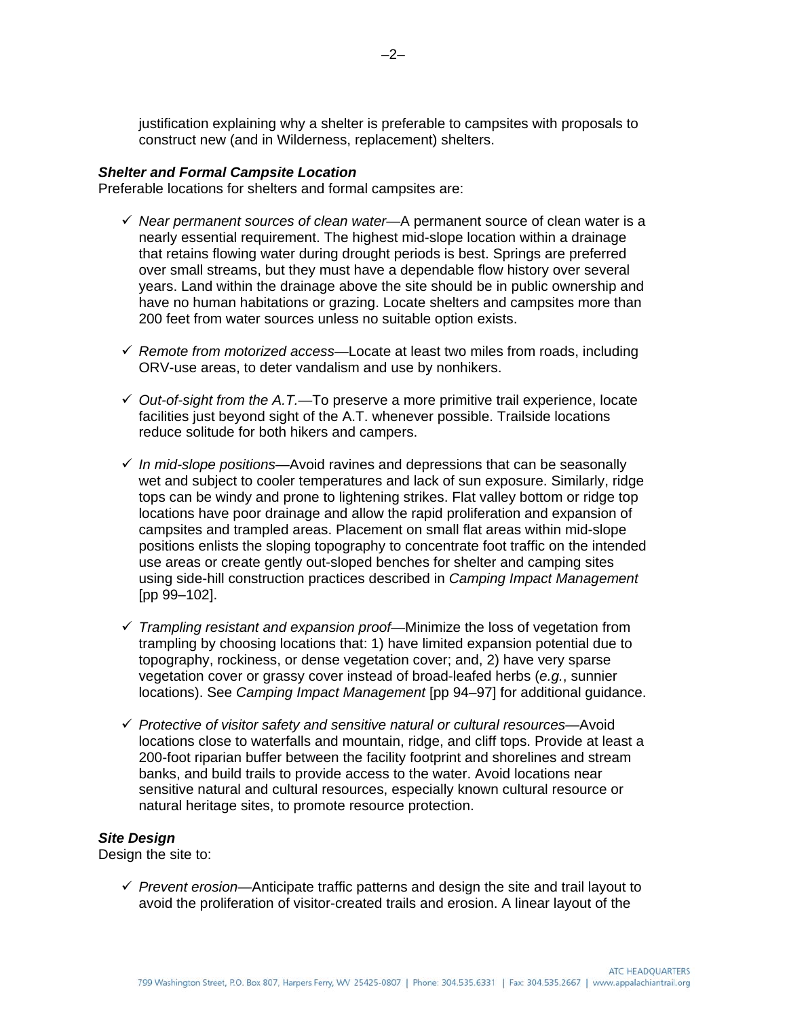justification explaining why a shelter is preferable to campsites with proposals to construct new (and in Wilderness, replacement) shelters.

# *Shelter and Formal Campsite Location*

Preferable locations for shelters and formal campsites are:

- 9 *Near permanent sources of clean water*—A permanent source of clean water is a nearly essential requirement. The highest mid-slope location within a drainage that retains flowing water during drought periods is best. Springs are preferred over small streams, but they must have a dependable flow history over several years. Land within the drainage above the site should be in public ownership and have no human habitations or grazing. Locate shelters and campsites more than 200 feet from water sources unless no suitable option exists.
- 9 *Remote from motorized access*—Locate at least two miles from roads, including ORV-use areas, to deter vandalism and use by nonhikers.
- 9 *Out-of-sight from the A.T.—*To preserve a more primitive trail experience, locate facilities just beyond sight of the A.T. whenever possible. Trailside locations reduce solitude for both hikers and campers.
- 9 *In mid-slope positions*—Avoid ravines and depressions that can be seasonally wet and subject to cooler temperatures and lack of sun exposure. Similarly, ridge tops can be windy and prone to lightening strikes. Flat valley bottom or ridge top locations have poor drainage and allow the rapid proliferation and expansion of campsites and trampled areas. Placement on small flat areas within mid-slope positions enlists the sloping topography to concentrate foot traffic on the intended use areas or create gently out-sloped benches for shelter and camping sites using side-hill construction practices described in *Camping Impact Management*  [pp 99–102].
- $\checkmark$  Trampling resistant and expansion proof—Minimize the loss of vegetation from trampling by choosing locations that: 1) have limited expansion potential due to topography, rockiness, or dense vegetation cover; and, 2) have very sparse vegetation cover or grassy cover instead of broad-leafed herbs (*e.g.*, sunnier locations). See *Camping Impact Management* [pp 94–97] for additional guidance.
- 9 *Protective of visitor safety and sensitive natural or cultural resources*—Avoid locations close to waterfalls and mountain, ridge, and cliff tops. Provide at least a 200-foot riparian buffer between the facility footprint and shorelines and stream banks, and build trails to provide access to the water. Avoid locations near sensitive natural and cultural resources, especially known cultural resource or natural heritage sites, to promote resource protection.

#### *Site Design*

Design the site to:

 $\checkmark$  Prevent erosion—Anticipate traffic patterns and design the site and trail layout to avoid the proliferation of visitor-created trails and erosion. A linear layout of the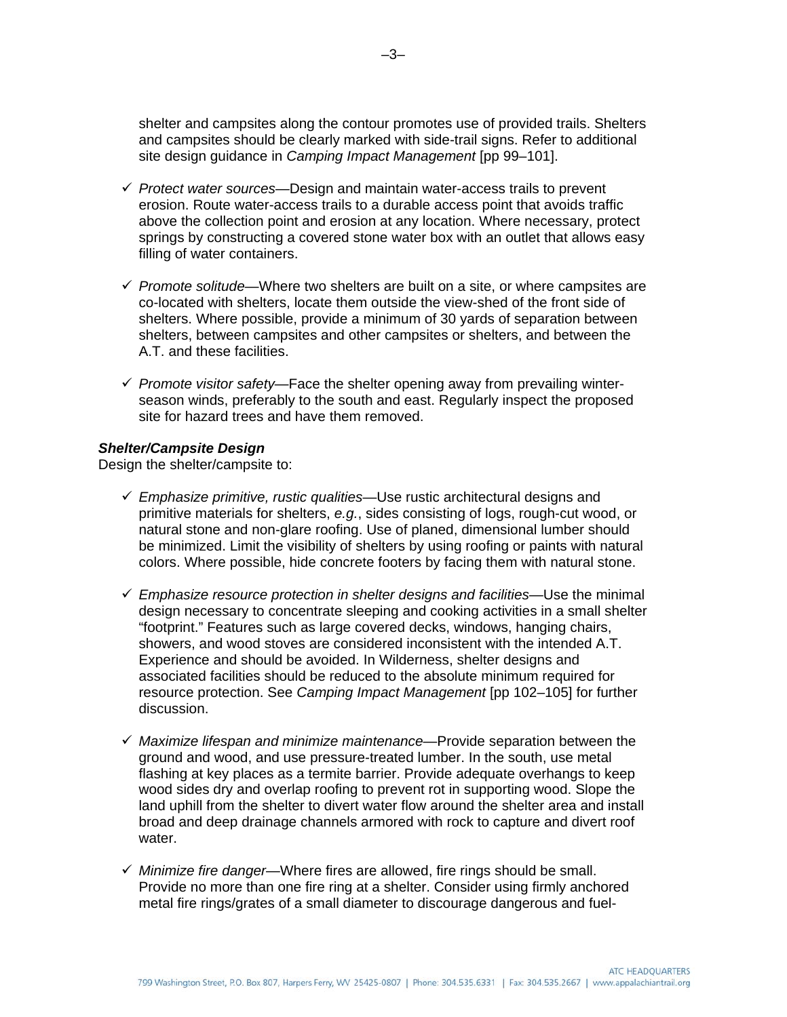shelter and campsites along the contour promotes use of provided trails. Shelters and campsites should be clearly marked with side-trail signs. Refer to additional site design guidance in *Camping Impact Management* [pp 99–101].

- 9 *Protect water sources*—Design and maintain water-access trails to prevent erosion. Route water-access trails to a durable access point that avoids traffic above the collection point and erosion at any location. Where necessary, protect springs by constructing a covered stone water box with an outlet that allows easy filling of water containers.
- $\checkmark$  *Promote solitude*—Where two shelters are built on a site, or where campsites are co-located with shelters, locate them outside the view-shed of the front side of shelters. Where possible, provide a minimum of 30 yards of separation between shelters, between campsites and other campsites or shelters, and between the A.T. and these facilities.
- 9 *Promote visitor safety*—Face the shelter opening away from prevailing winterseason winds, preferably to the south and east. Regularly inspect the proposed site for hazard trees and have them removed.

# *Shelter/Campsite Design*

Design the shelter/campsite to:

- 9 *Emphasize primitive, rustic qualities*—Use rustic architectural designs and primitive materials for shelters, *e.g.*, sides consisting of logs, rough-cut wood, or natural stone and non-glare roofing. Use of planed, dimensional lumber should be minimized. Limit the visibility of shelters by using roofing or paints with natural colors. Where possible, hide concrete footers by facing them with natural stone.
- $\checkmark$  Emphasize resource protection in shelter designs and facilities—Use the minimal design necessary to concentrate sleeping and cooking activities in a small shelter "footprint." Features such as large covered decks, windows, hanging chairs, showers, and wood stoves are considered inconsistent with the intended A.T. Experience and should be avoided. In Wilderness, shelter designs and associated facilities should be reduced to the absolute minimum required for resource protection. See *Camping Impact Management* [pp 102–105] for further discussion.
- 9 *Maximize lifespan and minimize maintenance*—Provide separation between the ground and wood, and use pressure-treated lumber. In the south, use metal flashing at key places as a termite barrier. Provide adequate overhangs to keep wood sides dry and overlap roofing to prevent rot in supporting wood. Slope the land uphill from the shelter to divert water flow around the shelter area and install broad and deep drainage channels armored with rock to capture and divert roof water.
- 9 *Minimize fire danger*—Where fires are allowed, fire rings should be small. Provide no more than one fire ring at a shelter. Consider using firmly anchored metal fire rings/grates of a small diameter to discourage dangerous and fuel-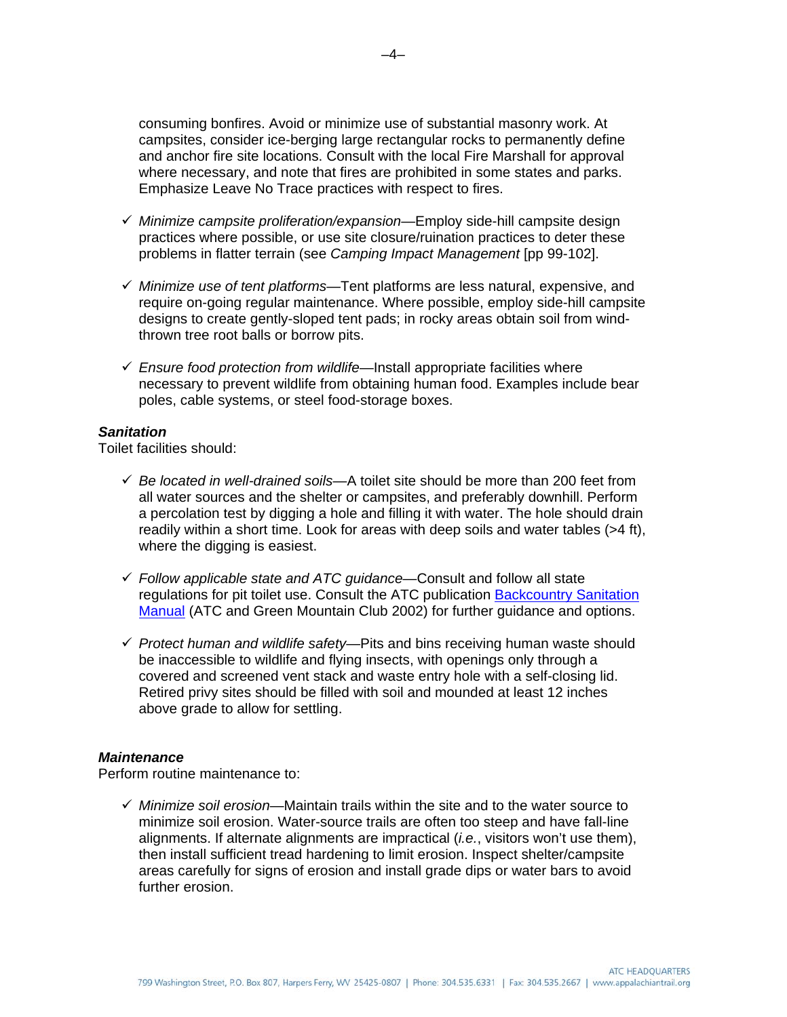consuming bonfires. Avoid or minimize use of substantial masonry work. At campsites, consider ice-berging large rectangular rocks to permanently define and anchor fire site locations. Consult with the local Fire Marshall for approval where necessary, and note that fires are prohibited in some states and parks. Emphasize Leave No Trace practices with respect to fires.

- 9 *Minimize campsite proliferation/expansion*—Employ side-hill campsite design practices where possible, or use site closure/ruination practices to deter these problems in flatter terrain (see *Camping Impact Management* [pp 99-102].
- 9 *Minimize use of tent platforms*—Tent platforms are less natural, expensive, and require on-going regular maintenance. Where possible, employ side-hill campsite designs to create gently-sloped tent pads; in rocky areas obtain soil from windthrown tree root balls or borrow pits.
- $\checkmark$  Ensure food protection from wildlife—Install appropriate facilities where necessary to prevent wildlife from obtaining human food. Examples include bear poles, cable systems, or steel food-storage boxes.

### *Sanitation*

Toilet facilities should:

- $\checkmark$  Be located in well-drained soils—A toilet site should be more than 200 feet from all water sources and the shelter or campsites, and preferably downhill. Perform a percolation test by digging a hole and filling it with water. The hole should drain readily within a short time. Look for areas with deep soils and water tables (>4 ft), where the digging is easiest.
- 9 *Follow applicable state and ATC guidance*—Consult and follow all state regulations for pit toilet use. Consult the ATC publication Backcountry Sanitation [Manual](http://www.appalachiantrail.org/docs/trail-maintainers-corner/2011/04/14/backcountry-sanitation-manual.pdf) (ATC and Green Mountain Club 2002) for further guidance and options.
- 9 *Protect human and wildlife safety*—Pits and bins receiving human waste should be inaccessible to wildlife and flying insects, with openings only through a covered and screened vent stack and waste entry hole with a self-closing lid. Retired privy sites should be filled with soil and mounded at least 12 inches above grade to allow for settling.

#### *Maintenance*

Perform routine maintenance to:

9 *Minimize soil erosion*—Maintain trails within the site and to the water source to minimize soil erosion. Water-source trails are often too steep and have fall-line alignments. If alternate alignments are impractical (*i.e.*, visitors won't use them), then install sufficient tread hardening to limit erosion. Inspect shelter/campsite areas carefully for signs of erosion and install grade dips or water bars to avoid further erosion.